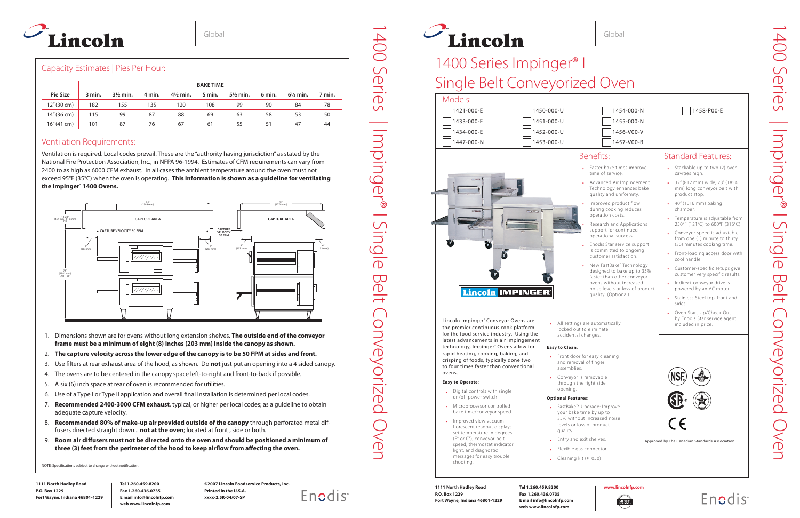

**1111 North Hadley Road P.O. Box 1229 Fort Wayne, Indiana 46801-1229**

**Tel 1.260.459.8200 Fax 1.260.436.0735 E mail info@lincolnfp.com web www.lincolnfp.com**

# 1400 Series Impinger<sup>®</sup> I Single Belt Conveyorized Oven

**©2007 Lincoln Foodservice Products, Inc. Printed in the U.S.A. xxxx-2.5K-04/07-SP**

Enodis

Lincoln Impinger® Conveyor Ovens are the premier continuous cook platform for the food service industry. Using the latest advancements in air impingement technology, Impinger® Ovens allow for rapid heating, cooking, baking, and crisping of foods, typically done two to four times faster than conventional ovens.

#### **Easy to Operate**:

- Digital controls with single on/off power switch.
- Microprocessor controlled bake time/conveyor speed.
- Improved view vacuum florescent readout displays set temperature in degrees (F° or C°), conveyor belt speed, thermostat indicator light, and diagnostic messages for easy trouble
- shooting.

• All settings are automatically locked out to eliminate accidental changes.

#### **Easy to Clean**:

• Front door for easy cleaning and removal of finger

assemblies. • Conveyor is removable

through the right side

opening.

#### **Optional Features**:

• FastBake™ Upgrade: Improve your bake time by up to 35% without increased noise levels or loss of product

- 
- quality! • Entry and exit shelves.
	- Cleaning kit (#1050)

• Flexible gas connector.

- Stackable up to two (2) oven cavities high.
- 32" (812 mm) wide, 73" (1854 mm) long conveyor belt with product stop.
- 40" (1016 mm) baking chamber.
- Temperature is adjustable from 250°F (121°C) to 600°F (316°C).
- Conveyor speed is adjustable from one (1) minute to thirty (30) minutes cooking time.
- Front-loading access door with cool handle.
- Customer-specific setups give customer very specific results.
- Indirect conveyor drive is powered by an AC motor.
- Stainless Steel top, front and sides.
- Oven Start-Up/Check-Out by Enodis Star service agent included in price.





**1111 North Hadley Road P.O. Box 1229 Fort Wayne, Indiana 46801-1229**

**Tel 1.260.459.8200 Fax 1.260.436.0735 E mail info@lincolnfp.com web www.lincolnfp.com**

 $1454 - 000 - N$  $\Box$ 1455-000-N  $1456 - V00 - V$  $\Box$ 1457-V00-B

#### **www.lincolnfp.com**



- Faster bake times improve time of service.
- Advanced Air Impingement Technology enhances bake quality and uniformity.
- Improved product flow during cooking reduces operation costs.
- Research and Applications support for continued operational success.
- Enodis Star service support is committed to ongoing customer satisfaction.
- New FastBake™ Technology designed to bake up to 35% faster than other conveyor ovens without increased noise levels or loss of product quality! (Optional)

#### Benefits:

# **Enodis**

## Standard Features:



## Capacity Estimates | Pies Per Hour:

|                 | <b>BAKE TIME</b> |                     |        |                     |        |                     |        |                     |        |
|-----------------|------------------|---------------------|--------|---------------------|--------|---------------------|--------|---------------------|--------|
| <b>Pie Size</b> | 3 min.           | $3\frac{1}{2}$ min. | 4 min. | $4\frac{1}{2}$ min. | 5 min. | $5\frac{1}{2}$ min. | 6 min. | $6\frac{1}{2}$ min. | 7 min. |
| 12" (30 cm)     | 182              | 155                 | 135    | 120                 | 108    | 99                  | 90     | 84                  | 78     |
| 14" (36 cm)     | 115              | 99                  | 87     | 88                  | 69     | 63                  | 58     | -53                 | 50     |
| 16" (41 cm)     | 101              | 87                  | 76     | 67                  | 61     | ככ                  | 51     | 47                  | 44     |

### Ventilation Requirements:



Ventilation is required. Local codes prevail. These are the "authority having jurisdiction" as stated by the National Fire Protection Association, Inc., in NFPA 96-1994. Estimates of CFM requirements can vary from 2400 to as high as 6000 CFM exhaust. In all cases the ambient temperature around the oven must not exceed 95°F (35°C) when the oven is operating. **This information is shown as a guideline for ventilating the Impinger® 1400 Ovens.**



- 1. Dimensions shown are for ovens without long extension shelves. **The outside end of the conveyor frame must be a minimum of eight (8) inches (203 mm) inside the canopy as shown.**
- 2. **The capture velocity across the lower edge of the canopy is to be 50 FPM at sides and front.**
- 3. Use filters at rear exhaust area of the hood, as shown. Do **not** just put an opening into a 4 sided canopy.
- 4. The ovens are to be centered in the canopy space left-to-right and front-to-back if possible.
- 5. A six (6) inch space at rear of oven is recommended for utilities.
- 6. Use of a Type I or Type II application and overall final installation is determined per local codes.
- 7. **Recommended 2400-3000 CFM exhaust**, typical, or higher per local codes; as a guideline to obtain adequate capture velocity.
- 8. **Recommended 80% of make-up air provided outside of the canopy** through perforated metal diffusers directed straight down... **not at the oven**; located at front , side or both.
- 9. **Room air diffusers must not be directed onto the oven and should be positioned a minimum of three (3) feet from the perimeter of the hood to keep airflow from affecting the oven.**

NOTE: Specifications subject to change without notification.

| 1458-P00-E |
|------------|
|------------|

1400 Series | Impinger® I Single Belt Conveyorized Oven

 $\overline{\overline{O}}$ 

 $\overline{\mathbf{C}}$  $\overline{O}$ 

 $\frac{1}{\sqrt{1}}$ 

Conveyorized

**OVEN** 

ISingl

Impinger®

Series